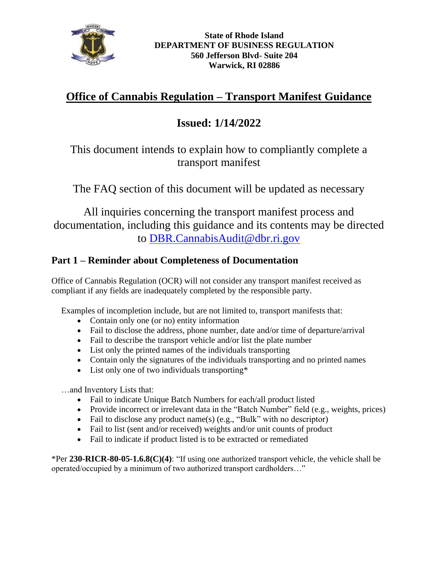

# **Office of Cannabis Regulation – Transport Manifest Guidance**

# **Issued: 1/14/2022**

## This document intends to explain how to compliantly complete a transport manifest

The FAQ section of this document will be updated as necessary

All inquiries concerning the transport manifest process and documentation, including this guidance and its contents may be directed to [DBR.CannabisAudit@dbr.ri.gov](mailto:DBR.CannabisAudit@dbr.ri.gov)

## **Part 1 – Reminder about Completeness of Documentation**

Office of Cannabis Regulation (OCR) will not consider any transport manifest received as compliant if any fields are inadequately completed by the responsible party.

Examples of incompletion include, but are not limited to, transport manifests that:

- Contain only one (or no) entity information
- Fail to disclose the address, phone number, date and/or time of departure/arrival
- Fail to describe the transport vehicle and/or list the plate number
- List only the printed names of the individuals transporting
- Contain only the signatures of the individuals transporting and no printed names
- List only one of two individuals transporting\*

…and Inventory Lists that:

- Fail to indicate Unique Batch Numbers for each/all product listed
- Provide incorrect or irrelevant data in the "Batch Number" field (e.g., weights, prices)
- Fail to disclose any product name(s) (e.g., "Bulk" with no descriptor)
- Fail to list (sent and/or received) weights and/or unit counts of product
- Fail to indicate if product listed is to be extracted or remediated

\*Per **230-RICR-80-05-1.6.8(C)(4)**: "If using one authorized transport vehicle, the vehicle shall be operated/occupied by a minimum of two authorized transport cardholders…"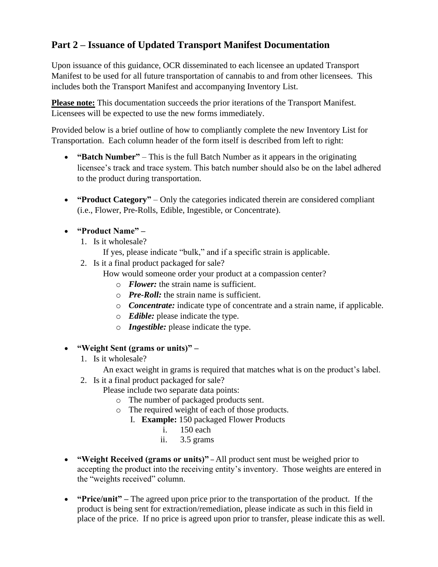## **Part 2 – Issuance of Updated Transport Manifest Documentation**

Upon issuance of this guidance, OCR disseminated to each licensee an updated Transport Manifest to be used for all future transportation of cannabis to and from other licensees. This includes both the Transport Manifest and accompanying Inventory List.

**Please note:** This documentation succeeds the prior iterations of the Transport Manifest. Licensees will be expected to use the new forms immediately.

Provided below is a brief outline of how to compliantly complete the new Inventory List for Transportation. Each column header of the form itself is described from left to right:

- **"Batch Number"** This is the full Batch Number as it appears in the originating licensee's track and trace system. This batch number should also be on the label adhered to the product during transportation.
- **"Product Category"** Only the categories indicated therein are considered compliant (i.e., Flower, Pre-Rolls, Edible, Ingestible, or Concentrate).

### • **"Product Name" –**

- 1. Is it wholesale?
	- If yes, please indicate "bulk," and if a specific strain is applicable.
- 2. Is it a final product packaged for sale?

How would someone order your product at a compassion center?

- o *Flower:* the strain name is sufficient.
- o *Pre-Roll:* the strain name is sufficient.
- o *Concentrate:* indicate type of concentrate and a strain name, if applicable.
- o *Edible:* please indicate the type.
- o *Ingestible:* please indicate the type.
- **"Weight Sent (grams or units)" –**
	- 1. Is it wholesale?

An exact weight in grams is required that matches what is on the product's label.

2. Is it a final product packaged for sale?

Please include two separate data points:

- o The number of packaged products sent.
- o The required weight of each of those products.
	- I. **Example:** 150 packaged Flower Products
		- i. 150 each
		- ii. 3.5 grams
- **"Weight Received (grams or units)"** All product sent must be weighed prior to accepting the product into the receiving entity's inventory. Those weights are entered in the "weights received" column.
- **"Price/unit" –** The agreed upon price prior to the transportation of the product. If the product is being sent for extraction/remediation, please indicate as such in this field in place of the price. If no price is agreed upon prior to transfer, please indicate this as well.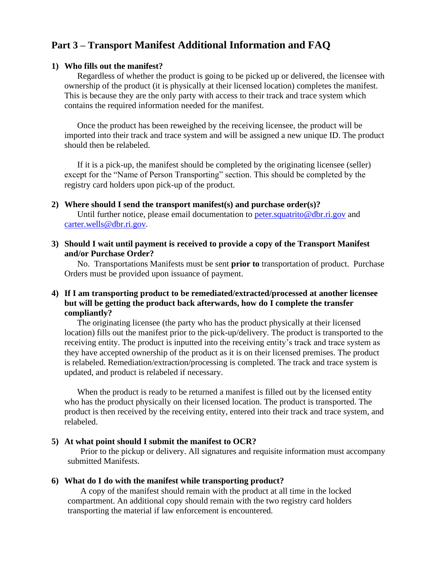### **Part 3 – Transport Manifest Additional Information and FAQ**

#### **1) Who fills out the manifest?**

Regardless of whether the product is going to be picked up or delivered, the licensee with ownership of the product (it is physically at their licensed location) completes the manifest. This is because they are the only party with access to their track and trace system which contains the required information needed for the manifest.

Once the product has been reweighed by the receiving licensee, the product will be imported into their track and trace system and will be assigned a new unique ID. The product should then be relabeled.

If it is a pick-up, the manifest should be completed by the originating licensee (seller) except for the "Name of Person Transporting" section. This should be completed by the registry card holders upon pick-up of the product.

- **2) Where should I send the transport manifest(s) and purchase order(s)?** Until further notice, please email documentation to [peter.squatrito@dbr.ri.gov](mailto:peter.squatrito@dbr.ri.gov) and [carter.wells@dbr.ri.gov.](mailto:carter.wells@dbr.ri.gov)
- **3) Should I wait until payment is received to provide a copy of the Transport Manifest and/or Purchase Order?**

No. Transportations Manifests must be sent **prior to** transportation of product. Purchase Orders must be provided upon issuance of payment.

#### **4) If I am transporting product to be remediated/extracted/processed at another licensee but will be getting the product back afterwards, how do I complete the transfer compliantly?**

The originating licensee (the party who has the product physically at their licensed location) fills out the manifest prior to the pick-up/delivery. The product is transported to the receiving entity. The product is inputted into the receiving entity's track and trace system as they have accepted ownership of the product as it is on their licensed premises. The product is relabeled. Remediation/extraction/processing is completed. The track and trace system is updated, and product is relabeled if necessary.

When the product is ready to be returned a manifest is filled out by the licensed entity who has the product physically on their licensed location. The product is transported. The product is then received by the receiving entity, entered into their track and trace system, and relabeled.

#### **5) At what point should I submit the manifest to OCR?**

Prior to the pickup or delivery. All signatures and requisite information must accompany submitted Manifests.

#### **6) What do I do with the manifest while transporting product?**

A copy of the manifest should remain with the product at all time in the locked compartment. An additional copy should remain with the two registry card holders transporting the material if law enforcement is encountered.